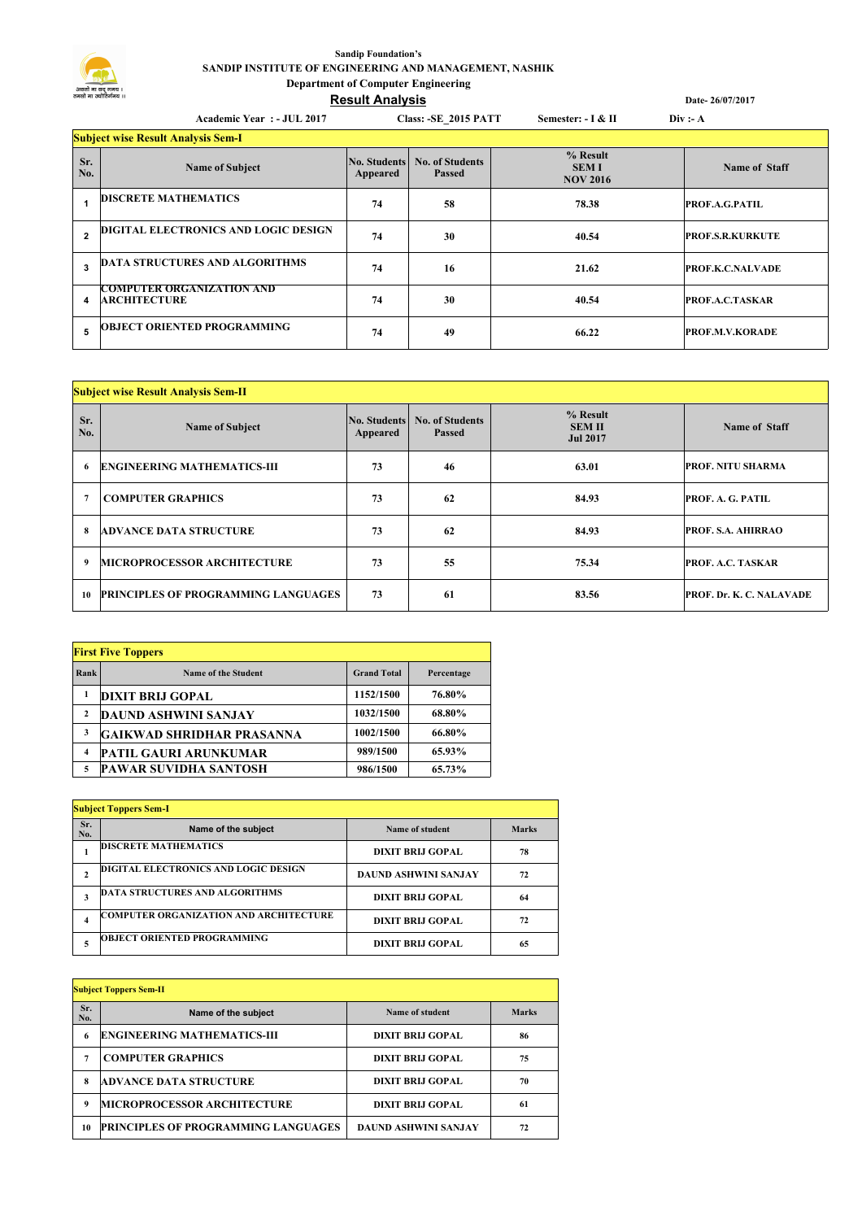## **Sandip Foundation's SANDIP INSTITUTE OF ENGINEERING AND MANAGEMENT, NASHIK Department of Computer Engineering**

## **Result Analysis**

|            | Academic Year: - JUL 2017                               |                                 | <b>Class: - SE 2015 PATT</b>            | Semester: - I & II                           | Div: A                  |  |  |  |
|------------|---------------------------------------------------------|---------------------------------|-----------------------------------------|----------------------------------------------|-------------------------|--|--|--|
|            | <b>Subject wise Result Analysis Sem-I</b>               |                                 |                                         |                                              |                         |  |  |  |
| Sr.<br>No. | <b>Name of Subject</b>                                  | <b>No. Students</b><br>Appeared | <b>No. of Students</b><br><b>Passed</b> | $%$ Result<br><b>SEMI</b><br><b>NOV 2016</b> | <b>Name of Staff</b>    |  |  |  |
|            | <b>DISCRETE MATHEMATICS</b>                             | 74                              | 58                                      | 78.38                                        | <b>PROF.A.G.PATIL</b>   |  |  |  |
| 2          | DIGITAL ELECTRONICS AND LOGIC DESIGN                    | 74                              | 30                                      | 40.54                                        | <b>PROF.S.R.KURKUTE</b> |  |  |  |
| 3          | <b>DATA STRUCTURES AND ALGORITHMS</b>                   | 74                              | 16                                      | 21.62                                        | <b>PROF.K.C.NALVADE</b> |  |  |  |
| 4          | <b>COMPUTER ORGANIZATION AND</b><br><b>ARCHITECTURE</b> | 74                              | 30                                      | 40.54                                        | <b>PROF.A.C.TASKAR</b>  |  |  |  |
| 5          | <b>OBJECT ORIENTED PROGRAMMING</b>                      | 74                              | 49                                      | 66.22                                        | <b>PROF.M.V.KORADE</b>  |  |  |  |

**Date- 26/07/2017**

| <b>Subject wise Result Analysis Sem-II</b> |                                            |          |                                               |                                              |                          |  |  |
|--------------------------------------------|--------------------------------------------|----------|-----------------------------------------------|----------------------------------------------|--------------------------|--|--|
| Sr.<br>No.                                 | <b>Name of Subject</b>                     | Appeared | No. Students No. of Students<br><b>Passed</b> | % Result<br><b>SEM II</b><br><b>Jul 2017</b> | Name of Staff            |  |  |
| 6                                          | <b>ENGINEERING MATHEMATICS-III</b>         | 73       | 46                                            | 63.01                                        | <b>PROF. NITU SHARMA</b> |  |  |
| $\mathbf{7}$                               | <b>COMPUTER GRAPHICS</b>                   | 73       | 62                                            | 84.93                                        | PROF. A. G. PATIL        |  |  |
| 8                                          | <b>ADVANCE DATA STRUCTURE</b>              | 73       | 62                                            | 84.93                                        | PROF. S.A. AHIRRAO       |  |  |
| 9                                          | <b>MICROPROCESSOR ARCHITECTURE</b>         | 73       | 55                                            | 75.34                                        | PROF. A.C. TASKAR        |  |  |
| 10                                         | <b>PRINCIPLES OF PROGRAMMING LANGUAGES</b> | 73       | 61                                            | 83.56                                        | PROF. Dr. K. C. NALAVADE |  |  |

| <b>First Five Toppers</b> |                                  |                    |            |  |  |  |  |
|---------------------------|----------------------------------|--------------------|------------|--|--|--|--|
| Rank                      | Name of the Student              | <b>Grand Total</b> | Percentage |  |  |  |  |
| 1                         | <b>DIXIT BRIJ GOPAL</b>          | 1152/1500          | 76.80%     |  |  |  |  |
| $\mathbf{2}$              | DAUND ASHWINI SANJAY             | 1032/1500          | 68.80%     |  |  |  |  |
| 3                         | <b>GAIKWAD SHRIDHAR PRASANNA</b> | 1002/1500          | 66.80%     |  |  |  |  |
| $\overline{\mathbf{4}}$   | <b>PATIL GAURI ARUNKUMAR</b>     | 989/1500           | 65.93%     |  |  |  |  |
| 5                         | <b>PAWAR SUVIDHA SANTOSH</b>     | 986/1500           | 65.73%     |  |  |  |  |

| <b>Subject Toppers Sem-I</b> |                                               |                             |              |  |  |  |
|------------------------------|-----------------------------------------------|-----------------------------|--------------|--|--|--|
| Sr.<br>No.                   | Name of the subject                           | Name of student             | <b>Marks</b> |  |  |  |
|                              | <b>DISCRETE MATHEMATICS</b>                   | DIXIT BRLI GOPAL            | 78           |  |  |  |
| $\mathbf{2}$                 | <b>DIGITAL ELECTRONICS AND LOGIC DESIGN</b>   | <b>DAUND ASHWINI SANJAY</b> | 72           |  |  |  |
| 3                            | <b>DATA STRUCTURES AND ALGORITHMS</b>         | DIXIT BRLI GOPAL            | 64           |  |  |  |
| 4                            | <b>COMPUTER ORGANIZATION AND ARCHITECTURE</b> | <b>DIXIT BRIJ GOPAL</b>     | 72           |  |  |  |
| 5                            | <b>OBJECT ORIENTED PROGRAMMING</b>            | DIXIT BRLI GOPAL            | 65           |  |  |  |

| <b>Subject Toppers Sem-II</b> |                                            |                         |       |  |  |  |
|-------------------------------|--------------------------------------------|-------------------------|-------|--|--|--|
| Sr.<br>No.                    | Name of the subject                        | Name of student         | Marks |  |  |  |
| 6                             | <b>ENGINEERING MATHEMATICS-III</b>         | DIXIT BRLI GOPAL        | 86    |  |  |  |
| 7                             | <b>COMPUTER GRAPHICS</b>                   | <b>DIXIT BRIJ GOPAL</b> | 75    |  |  |  |
| 8                             | <b>ADVANCE DATA STRUCTURE</b>              | DIXIT BRLI GOPAL        | 70    |  |  |  |
| 9                             | <b>MICROPROCESSOR ARCHITECTURE</b>         | DIXIT BRLI GOPAL        | 61    |  |  |  |
| 10                            | <b>PRINCIPLES OF PROGRAMMING LANGUAGES</b> | DAUND ASHWINI SANJAY    | 72    |  |  |  |